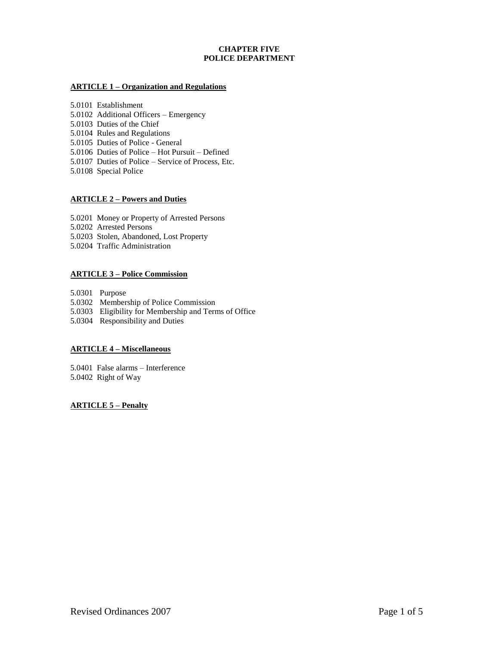# **CHAPTER FIVE POLICE DEPARTMENT**

### **ARTICLE 1 – Organization and Regulations**

5.0101 Establishment

- 5.0102 Additional Officers Emergency
- 5.0103 Duties of the Chief
- 5.0104 Rules and Regulations
- 5.0105 Duties of Police General
- 5.0106 Duties of Police Hot Pursuit Defined
- 5.0107 Duties of Police Service of Process, Etc.
- 5.0108 Special Police

## **ARTICLE 2 – Powers and Duties**

5.0201 Money or Property of Arrested Persons

5.0202 Arrested Persons

- 5.0203 Stolen, Abandoned, Lost Property
- 5.0204 Traffic Administration

### **ARTICLE 3 – Police Commission**

5.0301 Purpose

- 5.0302 Membership of Police Commission
- 5.0303 Eligibility for Membership and Terms of Office
- 5.0304 Responsibility and Duties

### **ARTICLE 4 – Miscellaneous**

5.0401 False alarms – Interference 5.0402 Right of Way

### **ARTICLE 5 – Penalty**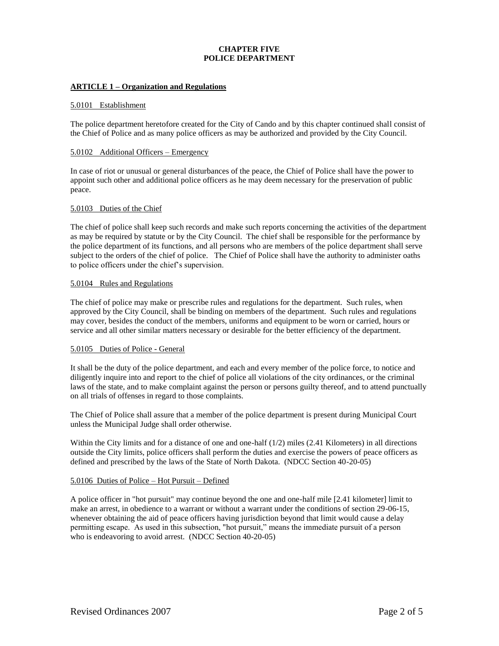# **CHAPTER FIVE POLICE DEPARTMENT**

### **ARTICLE 1 – Organization and Regulations**

#### 5.0101 Establishment

The police department heretofore created for the City of Cando and by this chapter continued shall consist of the Chief of Police and as many police officers as may be authorized and provided by the City Council.

### 5.0102 Additional Officers – Emergency

In case of riot or unusual or general disturbances of the peace, the Chief of Police shall have the power to appoint such other and additional police officers as he may deem necessary for the preservation of public peace.

### 5.0103 Duties of the Chief

The chief of police shall keep such records and make such reports concerning the activities of the department as may be required by statute or by the City Council. The chief shall be responsible for the performance by the police department of its functions, and all persons who are members of the police department shall serve subject to the orders of the chief of police. The Chief of Police shall have the authority to administer oaths to police officers under the chief's supervision.

#### 5.0104 Rules and Regulations

The chief of police may make or prescribe rules and regulations for the department. Such rules, when approved by the City Council, shall be binding on members of the department. Such rules and regulations may cover, besides the conduct of the members, uniforms and equipment to be worn or carried, hours or service and all other similar matters necessary or desirable for the better efficiency of the department.

### 5.0105 Duties of Police - General

It shall be the duty of the police department, and each and every member of the police force, to notice and diligently inquire into and report to the chief of police all violations of the city ordinances, or the criminal laws of the state, and to make complaint against the person or persons guilty thereof, and to attend punctually on all trials of offenses in regard to those complaints.

The Chief of Police shall assure that a member of the police department is present during Municipal Court unless the Municipal Judge shall order otherwise.

Within the City limits and for a distance of one and one-half (1/2) miles (2.41 Kilometers) in all directions outside the City limits, police officers shall perform the duties and exercise the powers of peace officers as defined and prescribed by the laws of the State of North Dakota. (NDCC Section 40-20-05)

### 5.0106 Duties of Police – Hot Pursuit – Defined

A police officer in "hot pursuit" may continue beyond the one and one-half mile [2.41 kilometer] limit to make an arrest, in obedience to a warrant or without a warrant under the conditions of section 29-06-15, whenever obtaining the aid of peace officers having jurisdiction beyond that limit would cause a delay permitting escape. As used in this subsection, "hot pursuit," means the immediate pursuit of a person who is endeavoring to avoid arrest. (NDCC Section 40-20-05)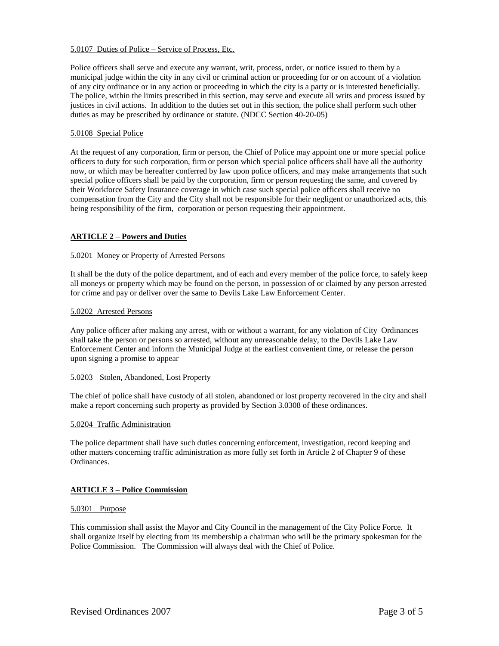### 5.0107 Duties of Police – Service of Process, Etc.

Police officers shall serve and execute any warrant, writ, process, order, or notice issued to them by a municipal judge within the city in any civil or criminal action or proceeding for or on account of a violation of any city ordinance or in any action or proceeding in which the city is a party or is interested beneficially. The police, within the limits prescribed in this section, may serve and execute all writs and process issued by justices in civil actions. In addition to the duties set out in this section, the police shall perform such other duties as may be prescribed by ordinance or statute. (NDCC Section 40-20-05)

## 5.0108 Special Police

At the request of any corporation, firm or person, the Chief of Police may appoint one or more special police officers to duty for such corporation, firm or person which special police officers shall have all the authority now, or which may be hereafter conferred by law upon police officers, and may make arrangements that such special police officers shall be paid by the corporation, firm or person requesting the same, and covered by their Workforce Safety Insurance coverage in which case such special police officers shall receive no compensation from the City and the City shall not be responsible for their negligent or unauthorized acts, this being responsibility of the firm, corporation or person requesting their appointment.

### **ARTICLE 2 – Powers and Duties**

### 5.0201 Money or Property of Arrested Persons

It shall be the duty of the police department, and of each and every member of the police force, to safely keep all moneys or property which may be found on the person, in possession of or claimed by any person arrested for crime and pay or deliver over the same to Devils Lake Law Enforcement Center.

### 5.0202 Arrested Persons

Any police officer after making any arrest, with or without a warrant, for any violation of City Ordinances shall take the person or persons so arrested, without any unreasonable delay, to the Devils Lake Law Enforcement Center and inform the Municipal Judge at the earliest convenient time, or release the person upon signing a promise to appear

# 5.0203 Stolen, Abandoned, Lost Property

The chief of police shall have custody of all stolen, abandoned or lost property recovered in the city and shall make a report concerning such property as provided by Section 3.0308 of these ordinances.

### 5.0204 Traffic Administration

The police department shall have such duties concerning enforcement, investigation, record keeping and other matters concerning traffic administration as more fully set forth in Article 2 of Chapter 9 of these Ordinances.

# **ARTICLE 3 – Police Commission**

### 5.0301 Purpose

This commission shall assist the Mayor and City Council in the management of the City Police Force. It shall organize itself by electing from its membership a chairman who will be the primary spokesman for the Police Commission. The Commission will always deal with the Chief of Police.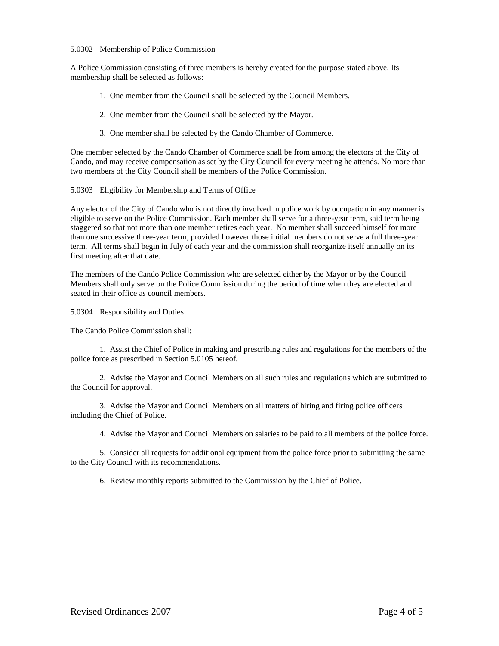### 5.0302 Membership of Police Commission

A Police Commission consisting of three members is hereby created for the purpose stated above. Its membership shall be selected as follows:

- 1. One member from the Council shall be selected by the Council Members.
- 2. One member from the Council shall be selected by the Mayor.
- 3. One member shall be selected by the Cando Chamber of Commerce.

One member selected by the Cando Chamber of Commerce shall be from among the electors of the City of Cando, and may receive compensation as set by the City Council for every meeting he attends. No more than two members of the City Council shall be members of the Police Commission.

# 5.0303 Eligibility for Membership and Terms of Office

Any elector of the City of Cando who is not directly involved in police work by occupation in any manner is eligible to serve on the Police Commission. Each member shall serve for a three-year term, said term being staggered so that not more than one member retires each year. No member shall succeed himself for more than one successive three-year term, provided however those initial members do not serve a full three-year term. All terms shall begin in July of each year and the commission shall reorganize itself annually on its first meeting after that date.

The members of the Cando Police Commission who are selected either by the Mayor or by the Council Members shall only serve on the Police Commission during the period of time when they are elected and seated in their office as council members.

### 5.0304 Responsibility and Duties

The Cando Police Commission shall:

1. Assist the Chief of Police in making and prescribing rules and regulations for the members of the police force as prescribed in Section 5.0105 hereof.

2. Advise the Mayor and Council Members on all such rules and regulations which are submitted to the Council for approval.

3. Advise the Mayor and Council Members on all matters of hiring and firing police officers including the Chief of Police.

4. Advise the Mayor and Council Members on salaries to be paid to all members of the police force.

5. Consider all requests for additional equipment from the police force prior to submitting the same to the City Council with its recommendations.

6. Review monthly reports submitted to the Commission by the Chief of Police.